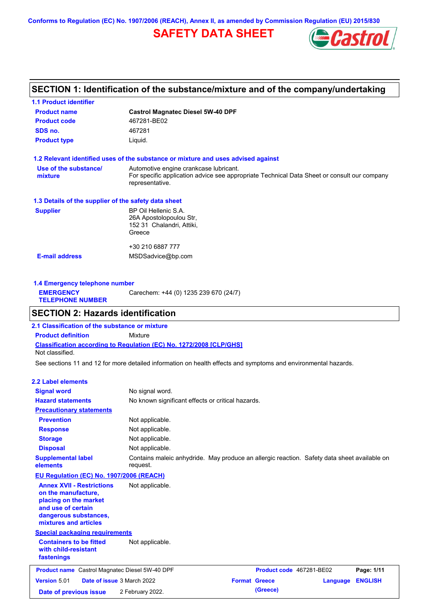**Conforms to Regulation (EC) No. 1907/2006 (REACH), Annex II, as amended by Commission Regulation (EU) 2015/830**

# **SAFETY DATA SHEET**



## **SECTION 1: Identification of the substance/mixture and of the company/undertaking**

| <b>Castrol Magnatec Diesel 5W-40 DPF</b>                                                                                                                 |  |  |  |  |
|----------------------------------------------------------------------------------------------------------------------------------------------------------|--|--|--|--|
| 467281-BE02                                                                                                                                              |  |  |  |  |
| 467281                                                                                                                                                   |  |  |  |  |
| Liquid.                                                                                                                                                  |  |  |  |  |
| 1.2 Relevant identified uses of the substance or mixture and uses advised against                                                                        |  |  |  |  |
| Automotive engine crankcase lubricant.<br>For specific application advice see appropriate Technical Data Sheet or consult our company<br>representative. |  |  |  |  |
| 1.3 Details of the supplier of the safety data sheet                                                                                                     |  |  |  |  |
| BP Oil Hellenic S.A.<br>26A Apostolopoulou Str.<br>152 31 Chalandri, Attiki,<br>Greece                                                                   |  |  |  |  |
| +30 210 6887 777<br>MSDSadvice@bp.com                                                                                                                    |  |  |  |  |
|                                                                                                                                                          |  |  |  |  |

| 1.4 Emergency telephone number              |                                       |
|---------------------------------------------|---------------------------------------|
| <b>EMERGENCY</b><br><b>TELEPHONE NUMBER</b> | Carechem: +44 (0) 1235 239 670 (24/7) |
|                                             |                                       |

# **SECTION 2: Hazards identification**

**Classification according to Regulation (EC) No. 1272/2008 [CLP/GHS] 2.1 Classification of the substance or mixture Product definition** Mixture Not classified.

See sections 11 and 12 for more detailed information on health effects and symptoms and environmental hazards.

#### **2.2 Label elements**

| <b>Signal word</b>                                                                                                                                       | No signal word.                                                                                         |                      |                          |          |                |
|----------------------------------------------------------------------------------------------------------------------------------------------------------|---------------------------------------------------------------------------------------------------------|----------------------|--------------------------|----------|----------------|
| <b>Hazard statements</b>                                                                                                                                 | No known significant effects or critical hazards.                                                       |                      |                          |          |                |
| <b>Precautionary statements</b>                                                                                                                          |                                                                                                         |                      |                          |          |                |
| <b>Prevention</b>                                                                                                                                        | Not applicable.                                                                                         |                      |                          |          |                |
| <b>Response</b>                                                                                                                                          | Not applicable.                                                                                         |                      |                          |          |                |
| <b>Storage</b>                                                                                                                                           | Not applicable.                                                                                         |                      |                          |          |                |
| <b>Disposal</b>                                                                                                                                          | Not applicable.                                                                                         |                      |                          |          |                |
| <b>Supplemental label</b><br>elements                                                                                                                    | Contains maleic anhydride. May produce an allergic reaction. Safety data sheet available on<br>request. |                      |                          |          |                |
| <b>EU Regulation (EC) No. 1907/2006 (REACH)</b>                                                                                                          |                                                                                                         |                      |                          |          |                |
| <b>Annex XVII - Restrictions</b><br>on the manufacture,<br>placing on the market<br>and use of certain<br>dangerous substances,<br>mixtures and articles | Not applicable.                                                                                         |                      |                          |          |                |
| <b>Special packaging requirements</b>                                                                                                                    |                                                                                                         |                      |                          |          |                |
| <b>Containers to be fitted</b><br>with child-resistant<br>fastenings                                                                                     | Not applicable.                                                                                         |                      |                          |          |                |
| <b>Product name</b> Castrol Magnatec Diesel 5W-40 DPF                                                                                                    |                                                                                                         |                      | Product code 467281-BE02 |          | Page: 1/11     |
| Version 5.01<br>Date of issue 3 March 2022                                                                                                               |                                                                                                         | <b>Format Greece</b> |                          | Language | <b>ENGLISH</b> |
| Date of previous issue                                                                                                                                   | 2 February 2022.                                                                                        |                      | (Greece)                 |          |                |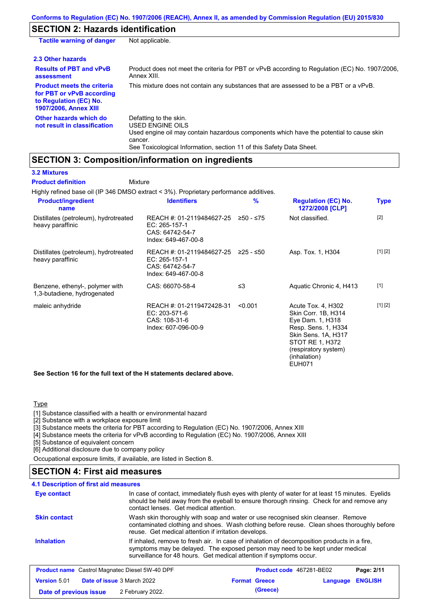## **SECTION 2: Hazards identification**

| <b>Tactile warning of danger</b>                                                                                         | Not applicable.                                                                                                                                                                                                                 |
|--------------------------------------------------------------------------------------------------------------------------|---------------------------------------------------------------------------------------------------------------------------------------------------------------------------------------------------------------------------------|
| 2.3 Other hazards                                                                                                        |                                                                                                                                                                                                                                 |
| <b>Results of PBT and vPvB</b><br>assessment                                                                             | Product does not meet the criteria for PBT or vPvB according to Regulation (EC) No. 1907/2006,<br>Annex XIII.                                                                                                                   |
| <b>Product meets the criteria</b><br>for PBT or vPvB according<br>to Regulation (EC) No.<br><b>1907/2006, Annex XIII</b> | This mixture does not contain any substances that are assessed to be a PBT or a vPvB.                                                                                                                                           |
| Other hazards which do<br>not result in classification                                                                   | Defatting to the skin.<br><b>USED ENGINE OILS</b><br>Used engine oil may contain hazardous components which have the potential to cause skin<br>cancer.<br>See Toxicological Information, section 11 of this Safety Data Sheet. |

# **SECTION 3: Composition/information on ingredients**

### **3.2 Mixtures**

Highly refined base oil (IP 346 DMSO extract < 3%). Proprietary performance additives. Distillates (petroleum), hydrotreated heavy paraffinic REACH #: 01-2119484627-25 ≥50 - ≤75 EC: 265-157-1 CAS: 64742-54-7 Index: 649-467-00-8 Not classified. [2] Distillates (petroleum), hydrotreated heavy paraffinic REACH #: 01-2119484627-25 EC: 265-157-1 CAS: 64742-54-7 Index: 649-467-00-8 Asp. Tox. 1, H304 [1] [2] Benzene, ethenyl-, polymer with 1,3-butadiene, hydrogenated CAS: 66070-58-4 ≤3 Aquatic Chronic 4, H413 [1] maleic anhydride **REACH #: 01-2119472428-31** <0.001 EC: 203-571-6 CAS: 108-31-6 Index: 607-096-00-9 Acute Tox. 4, H302 Skin Corr. 1B, H314 Eye Dam. 1, H318 Resp. Sens. 1, H334 Skin Sens. 1A, H317 STOT RE 1, H372 (respiratory system) (inhalation) EUH071 [1] [2] **Product/ingredient name % Regulation (EC) No. Identifiers Type 1272/2008 [CLP] Mixture Product definition**

**See Section 16 for the full text of the H statements declared above.**

### Type

[1] Substance classified with a health or environmental hazard

[2] Substance with a workplace exposure limit

[3] Substance meets the criteria for PBT according to Regulation (EC) No. 1907/2006, Annex XIII

[4] Substance meets the criteria for vPvB according to Regulation (EC) No. 1907/2006, Annex XIII

[5] Substance of equivalent concern

[6] Additional disclosure due to company policy

Occupational exposure limits, if available, are listed in Section 8.

## **SECTION 4: First aid measures**

In case of contact, immediately flush eyes with plenty of water for at least 15 minutes. Eyelids should be held away from the eyeball to ensure thorough rinsing. Check for and remove any contact lenses. Get medical attention. **4.1 Description of first aid measures** If inhaled, remove to fresh air. In case of inhalation of decomposition products in a fire, symptoms may be delayed. The exposed person may need to be kept under medical surveillance for 48 hours. Get medical attention if symptoms occur. **Inhalation Eye contact Skin contact** Wash skin thoroughly with soap and water or use recognised skin cleanser. Remove contaminated clothing and shoes. Wash clothing before reuse. Clean shoes thoroughly before reuse. Get medical attention if irritation develops. **Product name** Castrol Magnatec Diesel 5W-40 DPF **Product Code 467281-BE02 Page: 2/11** 

|                        | <b>I TOGGCC Hannel Castrol Ividghated Dicsel SW-40 DI T</b> | <b>THOUGH COUP TOTED TO LOT</b> |                  | . auv. <i>L</i> |
|------------------------|-------------------------------------------------------------|---------------------------------|------------------|-----------------|
| <b>Version 5.01</b>    | <b>Date of issue 3 March 2022</b>                           | <b>Format Greece</b>            | Language ENGLISH |                 |
| Date of previous issue | 2 February 2022.                                            | (Greece)                        |                  |                 |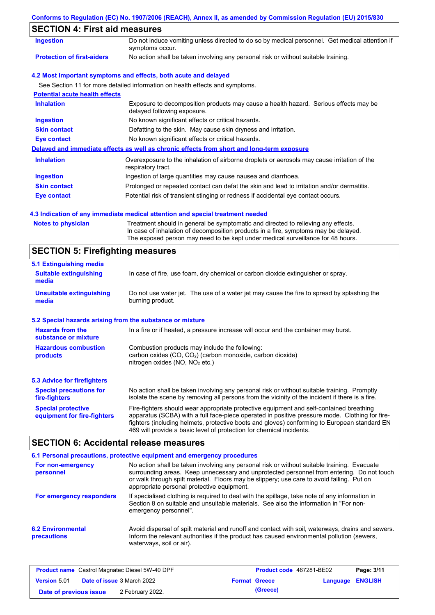| Conforms to Regulation (EC) No. 1907/2006 (REACH), Annex II, as amended by Commission Regulation (EU) 2015/830 |  |  |  |  |
|----------------------------------------------------------------------------------------------------------------|--|--|--|--|
|                                                                                                                |  |  |  |  |

# **SECTION 4: First aid measures**

| Ingestion                             | Do not induce vomiting unless directed to do so by medical personnel. Get medical attention if<br>symptoms occur.   |
|---------------------------------------|---------------------------------------------------------------------------------------------------------------------|
| <b>Protection of first-aiders</b>     | No action shall be taken involving any personal risk or without suitable training.                                  |
|                                       | 4.2 Most important symptoms and effects, both acute and delayed                                                     |
|                                       | See Section 11 for more detailed information on health effects and symptoms.                                        |
| <b>Potential acute health effects</b> |                                                                                                                     |
| <b>Inhalation</b>                     | Exposure to decomposition products may cause a health hazard. Serious effects may be<br>delayed following exposure. |
| <b>Ingestion</b>                      | No known significant effects or critical hazards.                                                                   |
| <b>Skin contact</b>                   | Defatting to the skin. May cause skin dryness and irritation.                                                       |
| Eye contact                           | No known significant effects or critical hazards.                                                                   |
|                                       | Delayed and immediate effects as well as chronic effects from short and long-term exposure                          |
| <b>Inhalation</b>                     | Overexposure to the inhalation of airborne droplets or aerosols may cause irritation of the<br>respiratory tract.   |
| <b>Ingestion</b>                      | Ingestion of large quantities may cause nausea and diarrhoea.                                                       |
| <b>Skin contact</b>                   | Prolonged or repeated contact can defat the skin and lead to irritation and/or dermatitis.                          |
| <b>Eye contact</b>                    | Potential risk of transient stinging or redness if accidental eye contact occurs.                                   |

## **4.3 Indication of any immediate medical attention and special treatment needed**

| <b>Notes to physician</b> | Treatment should in general be symptomatic and directed to relieving any effects.   |
|---------------------------|-------------------------------------------------------------------------------------|
|                           | In case of inhalation of decomposition products in a fire, symptoms may be delayed. |
|                           | The exposed person may need to be kept under medical surveillance for 48 hours.     |

# **SECTION 5: Firefighting measures**

| 5.1 Extinguishing media                                                                                                                                                                                |                                                                                                                                                                                                                                                                                                                                                                   |  |  |
|--------------------------------------------------------------------------------------------------------------------------------------------------------------------------------------------------------|-------------------------------------------------------------------------------------------------------------------------------------------------------------------------------------------------------------------------------------------------------------------------------------------------------------------------------------------------------------------|--|--|
| In case of fire, use foam, dry chemical or carbon dioxide extinguisher or spray.<br><b>Suitable extinguishing</b><br>media                                                                             |                                                                                                                                                                                                                                                                                                                                                                   |  |  |
| <b>Unsuitable extinguishing</b><br>Do not use water jet. The use of a water jet may cause the fire to spread by splashing the<br>burning product.<br>media                                             |                                                                                                                                                                                                                                                                                                                                                                   |  |  |
| 5.2 Special hazards arising from the substance or mixture                                                                                                                                              |                                                                                                                                                                                                                                                                                                                                                                   |  |  |
| <b>Hazards from the</b><br>substance or mixture                                                                                                                                                        | In a fire or if heated, a pressure increase will occur and the container may burst.                                                                                                                                                                                                                                                                               |  |  |
| Combustion products may include the following:<br><b>Hazardous combustion</b><br>carbon oxides $(CO, CO2)$ (carbon monoxide, carbon dioxide)<br>products<br>nitrogen oxides (NO, NO <sub>2</sub> etc.) |                                                                                                                                                                                                                                                                                                                                                                   |  |  |
| <b>5.3 Advice for firefighters</b>                                                                                                                                                                     |                                                                                                                                                                                                                                                                                                                                                                   |  |  |
| <b>Special precautions for</b><br>fire-fighters                                                                                                                                                        | No action shall be taken involving any personal risk or without suitable training. Promptly<br>isolate the scene by removing all persons from the vicinity of the incident if there is a fire.                                                                                                                                                                    |  |  |
| <b>Special protective</b><br>equipment for fire-fighters                                                                                                                                               | Fire-fighters should wear appropriate protective equipment and self-contained breathing<br>apparatus (SCBA) with a full face-piece operated in positive pressure mode. Clothing for fire-<br>fighters (including helmets, protective boots and gloves) conforming to European standard EN<br>469 will provide a basic level of protection for chemical incidents. |  |  |

# **SECTION 6: Accidental release measures**

|                                         | 6.1 Personal precautions, protective equipment and emergency procedures                                                                                                                                                                                                                                                             |
|-----------------------------------------|-------------------------------------------------------------------------------------------------------------------------------------------------------------------------------------------------------------------------------------------------------------------------------------------------------------------------------------|
| For non-emergency<br>personnel          | No action shall be taken involving any personal risk or without suitable training. Evacuate<br>surrounding areas. Keep unnecessary and unprotected personnel from entering. Do not touch<br>or walk through spilt material. Floors may be slippery; use care to avoid falling. Put on<br>appropriate personal protective equipment. |
| For emergency responders                | If specialised clothing is required to deal with the spillage, take note of any information in<br>Section 8 on suitable and unsuitable materials. See also the information in "For non-<br>emergency personnel".                                                                                                                    |
| <b>6.2 Environmental</b><br>precautions | Avoid dispersal of spilt material and runoff and contact with soil, waterways, drains and sewers.<br>Inform the relevant authorities if the product has caused environmental pollution (sewers,<br>waterways, soil or air).                                                                                                         |

| <b>Product name</b> Castrol Magnatec Diesel 5W-40 DPF    |  |                      | <b>Product code</b> 467281-BE02 |  | Page: 3/11 |
|----------------------------------------------------------|--|----------------------|---------------------------------|--|------------|
| <b>Date of issue</b> 3 March 2022<br><b>Version 5.01</b> |  | <b>Format Greece</b> | <b>Language ENGLISH</b>         |  |            |
| Date of previous issue                                   |  | 2 February 2022.     | (Greece)                        |  |            |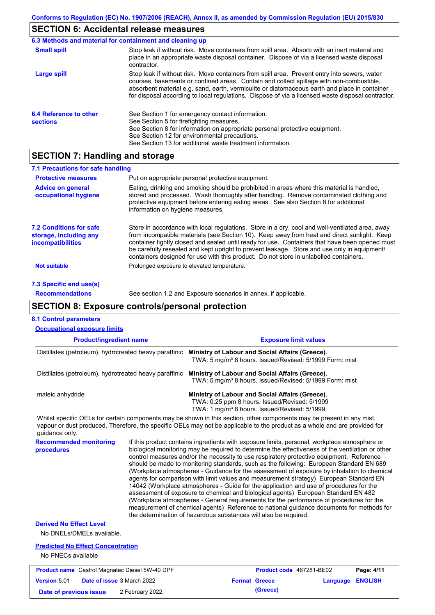# **SECTION 6: Accidental release measures**

|                                           | 6.3 Methods and material for containment and cleaning up                                                                                                                                                                                                                                                                                                                                       |
|-------------------------------------------|------------------------------------------------------------------------------------------------------------------------------------------------------------------------------------------------------------------------------------------------------------------------------------------------------------------------------------------------------------------------------------------------|
| <b>Small spill</b>                        | Stop leak if without risk. Move containers from spill area. Absorb with an inert material and<br>place in an appropriate waste disposal container. Dispose of via a licensed waste disposal<br>contractor.                                                                                                                                                                                     |
| Large spill                               | Stop leak if without risk. Move containers from spill area. Prevent entry into sewers, water<br>courses, basements or confined areas. Contain and collect spillage with non-combustible,<br>absorbent material e.g. sand, earth, vermiculite or diatomaceous earth and place in container<br>for disposal according to local regulations. Dispose of via a licensed waste disposal contractor. |
| 6.4 Reference to other<br><b>sections</b> | See Section 1 for emergency contact information.<br>See Section 5 for firefighting measures.<br>See Section 8 for information on appropriate personal protective equipment.<br>See Section 12 for environmental precautions.<br>See Section 13 for additional waste treatment information.                                                                                                     |

## **SECTION 7: Handling and storage**

| 7.1 Precautions for safe handling                                                    |                                                                                                                                                                                                                                                                                                                                                                                                                                                                                          |
|--------------------------------------------------------------------------------------|------------------------------------------------------------------------------------------------------------------------------------------------------------------------------------------------------------------------------------------------------------------------------------------------------------------------------------------------------------------------------------------------------------------------------------------------------------------------------------------|
| <b>Protective measures</b>                                                           | Put on appropriate personal protective equipment.                                                                                                                                                                                                                                                                                                                                                                                                                                        |
| <b>Advice on general</b><br>occupational hygiene                                     | Eating, drinking and smoking should be prohibited in areas where this material is handled,<br>stored and processed. Wash thoroughly after handling. Remove contaminated clothing and<br>protective equipment before entering eating areas. See also Section 8 for additional<br>information on hygiene measures.                                                                                                                                                                         |
| <b>7.2 Conditions for safe</b><br>storage, including any<br><i>incompatibilities</i> | Store in accordance with local regulations. Store in a dry, cool and well-ventilated area, away<br>from incompatible materials (see Section 10). Keep away from heat and direct sunlight. Keep<br>container tightly closed and sealed until ready for use. Containers that have been opened must<br>be carefully resealed and kept upright to prevent leakage. Store and use only in equipment/<br>containers designed for use with this product. Do not store in unlabelled containers. |
| <b>Not suitable</b>                                                                  | Prolonged exposure to elevated temperature.                                                                                                                                                                                                                                                                                                                                                                                                                                              |
| 7.3 Specific end use(s)                                                              |                                                                                                                                                                                                                                                                                                                                                                                                                                                                                          |
| <b>Recommendations</b>                                                               | See section 1.2 and Exposure scenarios in annex, if applicable.                                                                                                                                                                                                                                                                                                                                                                                                                          |

# **SECTION 8: Exposure controls/personal protection**

| <b>8.1 Control parameters</b>                                                                                                                                                                                                                                          |                  |                                                                                                                                                                                                                                                                                                                                                                                                                                                                                                                                                                                                                                                                                                                                                                                                                                                                                                                                                                                                                            |                                  |          |                |
|------------------------------------------------------------------------------------------------------------------------------------------------------------------------------------------------------------------------------------------------------------------------|------------------|----------------------------------------------------------------------------------------------------------------------------------------------------------------------------------------------------------------------------------------------------------------------------------------------------------------------------------------------------------------------------------------------------------------------------------------------------------------------------------------------------------------------------------------------------------------------------------------------------------------------------------------------------------------------------------------------------------------------------------------------------------------------------------------------------------------------------------------------------------------------------------------------------------------------------------------------------------------------------------------------------------------------------|----------------------------------|----------|----------------|
| <b>Occupational exposure limits</b>                                                                                                                                                                                                                                    |                  |                                                                                                                                                                                                                                                                                                                                                                                                                                                                                                                                                                                                                                                                                                                                                                                                                                                                                                                                                                                                                            |                                  |          |                |
| <b>Product/ingredient name</b><br>Distillates (petroleum), hydrotreated heavy paraffinic<br>Distillates (petroleum), hydrotreated heavy paraffinic<br>maleic anhydride                                                                                                 |                  | <b>Exposure limit values</b><br>Ministry of Labour and Social Affairs (Greece).<br>TWA: 5 mg/m <sup>3</sup> 8 hours. Issued/Revised: 5/1999 Form: mist                                                                                                                                                                                                                                                                                                                                                                                                                                                                                                                                                                                                                                                                                                                                                                                                                                                                     |                                  |          |                |
|                                                                                                                                                                                                                                                                        |                  | Ministry of Labour and Social Affairs (Greece).<br>TWA: 5 mg/m <sup>3</sup> 8 hours. Issued/Revised: 5/1999 Form: mist                                                                                                                                                                                                                                                                                                                                                                                                                                                                                                                                                                                                                                                                                                                                                                                                                                                                                                     |                                  |          |                |
|                                                                                                                                                                                                                                                                        |                  | Ministry of Labour and Social Affairs (Greece).<br>TWA: 0.25 ppm 8 hours. Issued/Revised: 5/1999<br>TWA: 1 mg/m <sup>3</sup> 8 hours. Issued/Revised: 5/1999                                                                                                                                                                                                                                                                                                                                                                                                                                                                                                                                                                                                                                                                                                                                                                                                                                                               |                                  |          |                |
| Whilst specific OELs for certain components may be shown in this section, other components may be present in any mist,<br>vapour or dust produced. Therefore, the specific OELs may not be applicable to the product as a whole and are provided for<br>guidance only. |                  |                                                                                                                                                                                                                                                                                                                                                                                                                                                                                                                                                                                                                                                                                                                                                                                                                                                                                                                                                                                                                            |                                  |          |                |
| <b>Recommended monitoring</b><br>procedures                                                                                                                                                                                                                            |                  | If this product contains ingredients with exposure limits, personal, workplace atmosphere or<br>biological monitoring may be required to determine the effectiveness of the ventilation or other<br>control measures and/or the necessity to use respiratory protective equipment. Reference<br>should be made to monitoring standards, such as the following: European Standard EN 689<br>(Workplace atmospheres - Guidance for the assessment of exposure by inhalation to chemical<br>agents for comparison with limit values and measurement strategy) European Standard EN<br>14042 (Workplace atmospheres - Guide for the application and use of procedures for the<br>assessment of exposure to chemical and biological agents) European Standard EN 482<br>(Workplace atmospheres - General requirements for the performance of procedures for the<br>measurement of chemical agents) Reference to national guidance documents for methods for<br>the determination of hazardous substances will also be required. |                                  |          |                |
| <b>Derived No Effect Level</b><br>No DNELs/DMELs available.                                                                                                                                                                                                            |                  |                                                                                                                                                                                                                                                                                                                                                                                                                                                                                                                                                                                                                                                                                                                                                                                                                                                                                                                                                                                                                            |                                  |          |                |
| <b>Predicted No Effect Concentration</b><br>No PNECs available                                                                                                                                                                                                         |                  |                                                                                                                                                                                                                                                                                                                                                                                                                                                                                                                                                                                                                                                                                                                                                                                                                                                                                                                                                                                                                            |                                  |          |                |
| <b>Product name</b> Castrol Magnatec Diesel 5W-40 DPF                                                                                                                                                                                                                  |                  |                                                                                                                                                                                                                                                                                                                                                                                                                                                                                                                                                                                                                                                                                                                                                                                                                                                                                                                                                                                                                            | Product code 467281-BE02         |          | Page: 4/11     |
| Version 5.01<br>Date of issue 3 March 2022<br>Date of previous issue                                                                                                                                                                                                   | 2 February 2022. |                                                                                                                                                                                                                                                                                                                                                                                                                                                                                                                                                                                                                                                                                                                                                                                                                                                                                                                                                                                                                            | <b>Format Greece</b><br>(Greece) | Language | <b>ENGLISH</b> |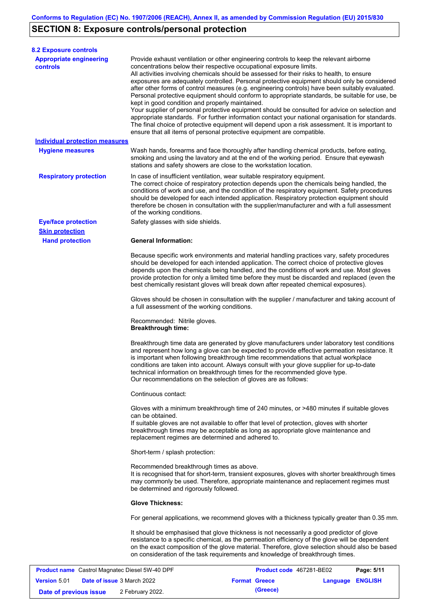# **SECTION 8: Exposure controls/personal protection**

| <b>8.2 Exposure controls</b>                          |                                                                                                                                                                                                  |                                                                                                                                                                                                                                                                                                                                                                                                                                                                                                                                                                                                                                                                                                                                                                                                     |            |  |  |  |
|-------------------------------------------------------|--------------------------------------------------------------------------------------------------------------------------------------------------------------------------------------------------|-----------------------------------------------------------------------------------------------------------------------------------------------------------------------------------------------------------------------------------------------------------------------------------------------------------------------------------------------------------------------------------------------------------------------------------------------------------------------------------------------------------------------------------------------------------------------------------------------------------------------------------------------------------------------------------------------------------------------------------------------------------------------------------------------------|------------|--|--|--|
| <b>Appropriate engineering</b><br><b>controls</b>     | concentrations below their respective occupational exposure limits.<br>kept in good condition and properly maintained.<br>ensure that all items of personal protective equipment are compatible. | Provide exhaust ventilation or other engineering controls to keep the relevant airborne<br>All activities involving chemicals should be assessed for their risks to health, to ensure<br>exposures are adequately controlled. Personal protective equipment should only be considered<br>after other forms of control measures (e.g. engineering controls) have been suitably evaluated.<br>Personal protective equipment should conform to appropriate standards, be suitable for use, be<br>Your supplier of personal protective equipment should be consulted for advice on selection and<br>appropriate standards. For further information contact your national organisation for standards.<br>The final choice of protective equipment will depend upon a risk assessment. It is important to |            |  |  |  |
| <b>Individual protection measures</b>                 |                                                                                                                                                                                                  |                                                                                                                                                                                                                                                                                                                                                                                                                                                                                                                                                                                                                                                                                                                                                                                                     |            |  |  |  |
| <b>Hygiene measures</b>                               | stations and safety showers are close to the workstation location.                                                                                                                               | Wash hands, forearms and face thoroughly after handling chemical products, before eating,<br>smoking and using the lavatory and at the end of the working period. Ensure that eyewash                                                                                                                                                                                                                                                                                                                                                                                                                                                                                                                                                                                                               |            |  |  |  |
| <b>Respiratory protection</b>                         | In case of insufficient ventilation, wear suitable respiratory equipment.<br>of the working conditions.                                                                                          | The correct choice of respiratory protection depends upon the chemicals being handled, the<br>conditions of work and use, and the condition of the respiratory equipment. Safety procedures<br>should be developed for each intended application. Respiratory protection equipment should<br>therefore be chosen in consultation with the supplier/manufacturer and with a full assessment                                                                                                                                                                                                                                                                                                                                                                                                          |            |  |  |  |
| <b>Eye/face protection</b>                            | Safety glasses with side shields.                                                                                                                                                                |                                                                                                                                                                                                                                                                                                                                                                                                                                                                                                                                                                                                                                                                                                                                                                                                     |            |  |  |  |
| <b>Skin protection</b>                                |                                                                                                                                                                                                  |                                                                                                                                                                                                                                                                                                                                                                                                                                                                                                                                                                                                                                                                                                                                                                                                     |            |  |  |  |
| <b>Hand protection</b>                                | <b>General Information:</b>                                                                                                                                                                      |                                                                                                                                                                                                                                                                                                                                                                                                                                                                                                                                                                                                                                                                                                                                                                                                     |            |  |  |  |
|                                                       |                                                                                                                                                                                                  | Because specific work environments and material handling practices vary, safety procedures<br>should be developed for each intended application. The correct choice of protective gloves<br>depends upon the chemicals being handled, and the conditions of work and use. Most gloves<br>provide protection for only a limited time before they must be discarded and replaced (even the<br>best chemically resistant gloves will break down after repeated chemical exposures).                                                                                                                                                                                                                                                                                                                    |            |  |  |  |
|                                                       | Gloves should be chosen in consultation with the supplier / manufacturer and taking account of<br>a full assessment of the working conditions.                                                   |                                                                                                                                                                                                                                                                                                                                                                                                                                                                                                                                                                                                                                                                                                                                                                                                     |            |  |  |  |
|                                                       | Recommended: Nitrile gloves.<br><b>Breakthrough time:</b>                                                                                                                                        |                                                                                                                                                                                                                                                                                                                                                                                                                                                                                                                                                                                                                                                                                                                                                                                                     |            |  |  |  |
|                                                       | Our recommendations on the selection of gloves are as follows:                                                                                                                                   | Breakthrough time data are generated by glove manufacturers under laboratory test conditions<br>and represent how long a glove can be expected to provide effective permeation resistance. It<br>is important when following breakthrough time recommendations that actual workplace<br>conditions are taken into account. Always consult with your glove supplier for up-to-date<br>technical information on breakthrough times for the recommended glove type.                                                                                                                                                                                                                                                                                                                                    |            |  |  |  |
|                                                       | Continuous contact:                                                                                                                                                                              |                                                                                                                                                                                                                                                                                                                                                                                                                                                                                                                                                                                                                                                                                                                                                                                                     |            |  |  |  |
|                                                       | can be obtained.                                                                                                                                                                                 | Gloves with a minimum breakthrough time of 240 minutes, or >480 minutes if suitable gloves<br>If suitable gloves are not available to offer that level of protection, gloves with shorter                                                                                                                                                                                                                                                                                                                                                                                                                                                                                                                                                                                                           |            |  |  |  |
|                                                       | replacement regimes are determined and adhered to.                                                                                                                                               | breakthrough times may be acceptable as long as appropriate glove maintenance and                                                                                                                                                                                                                                                                                                                                                                                                                                                                                                                                                                                                                                                                                                                   |            |  |  |  |
|                                                       | Short-term / splash protection:                                                                                                                                                                  |                                                                                                                                                                                                                                                                                                                                                                                                                                                                                                                                                                                                                                                                                                                                                                                                     |            |  |  |  |
|                                                       | Recommended breakthrough times as above.<br>be determined and rigorously followed.                                                                                                               | It is recognised that for short-term, transient exposures, gloves with shorter breakthrough times<br>may commonly be used. Therefore, appropriate maintenance and replacement regimes must                                                                                                                                                                                                                                                                                                                                                                                                                                                                                                                                                                                                          |            |  |  |  |
|                                                       | <b>Glove Thickness:</b>                                                                                                                                                                          |                                                                                                                                                                                                                                                                                                                                                                                                                                                                                                                                                                                                                                                                                                                                                                                                     |            |  |  |  |
|                                                       |                                                                                                                                                                                                  | For general applications, we recommend gloves with a thickness typically greater than 0.35 mm.                                                                                                                                                                                                                                                                                                                                                                                                                                                                                                                                                                                                                                                                                                      |            |  |  |  |
|                                                       |                                                                                                                                                                                                  | It should be emphasised that glove thickness is not necessarily a good predictor of glove<br>resistance to a specific chemical, as the permeation efficiency of the glove will be dependent<br>on the exact composition of the glove material. Therefore, glove selection should also be based<br>on consideration of the task requirements and knowledge of breakthrough times.                                                                                                                                                                                                                                                                                                                                                                                                                    |            |  |  |  |
| <b>Product name</b> Castrol Magnatec Diesel 5W-40 DPF |                                                                                                                                                                                                  | Product code 467281-BE02                                                                                                                                                                                                                                                                                                                                                                                                                                                                                                                                                                                                                                                                                                                                                                            | Page: 5/11 |  |  |  |

|                        | <b>Product Hallie</b> Castrol Magriated Diesel JW-40 DFF |                      |          | <b>FIGURE COUP 407Z01-DEVZ</b> | raue. <del>JULI</del> |
|------------------------|----------------------------------------------------------|----------------------|----------|--------------------------------|-----------------------|
| <b>Version</b> 5.01    | <b>Date of issue 3 March 2022</b>                        | <b>Format Greece</b> |          | <b>Language ENGLISH</b>        |                       |
| Date of previous issue | 2 February 2022.                                         |                      | (Greece) |                                |                       |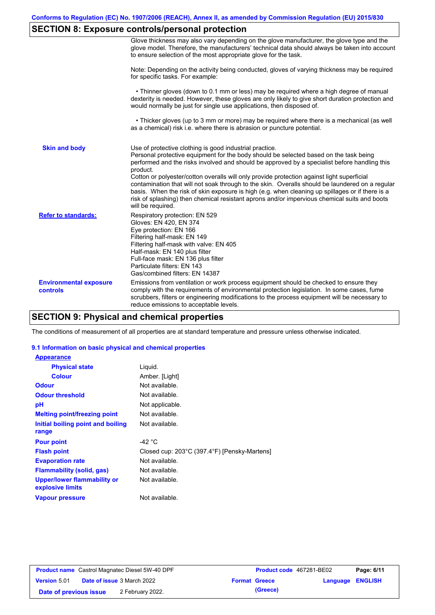# **SECTION 8: Exposure controls/personal protection**

|                                           | Glove thickness may also vary depending on the glove manufacturer, the glove type and the<br>glove model. Therefore, the manufacturers' technical data should always be taken into account<br>to ensure selection of the most appropriate glove for the task.                                                                                                                                                                                                                                                                                                                                                                                                                         |
|-------------------------------------------|---------------------------------------------------------------------------------------------------------------------------------------------------------------------------------------------------------------------------------------------------------------------------------------------------------------------------------------------------------------------------------------------------------------------------------------------------------------------------------------------------------------------------------------------------------------------------------------------------------------------------------------------------------------------------------------|
|                                           | Note: Depending on the activity being conducted, gloves of varying thickness may be required<br>for specific tasks. For example:                                                                                                                                                                                                                                                                                                                                                                                                                                                                                                                                                      |
|                                           | • Thinner gloves (down to 0.1 mm or less) may be required where a high degree of manual<br>dexterity is needed. However, these gloves are only likely to give short duration protection and<br>would normally be just for single use applications, then disposed of.                                                                                                                                                                                                                                                                                                                                                                                                                  |
|                                           | • Thicker gloves (up to 3 mm or more) may be required where there is a mechanical (as well<br>as a chemical) risk i.e. where there is abrasion or puncture potential.                                                                                                                                                                                                                                                                                                                                                                                                                                                                                                                 |
| <b>Skin and body</b>                      | Use of protective clothing is good industrial practice.<br>Personal protective equipment for the body should be selected based on the task being<br>performed and the risks involved and should be approved by a specialist before handling this<br>product.<br>Cotton or polyester/cotton overalls will only provide protection against light superficial<br>contamination that will not soak through to the skin. Overalls should be laundered on a regular<br>basis. When the risk of skin exposure is high (e.g. when cleaning up spillages or if there is a<br>risk of splashing) then chemical resistant aprons and/or impervious chemical suits and boots<br>will be required. |
| <b>Refer to standards:</b>                | Respiratory protection: EN 529<br>Gloves: EN 420, EN 374<br>Eye protection: EN 166<br>Filtering half-mask: EN 149<br>Filtering half-mask with valve: EN 405<br>Half-mask: EN 140 plus filter<br>Full-face mask: EN 136 plus filter<br>Particulate filters: EN 143<br>Gas/combined filters: EN 14387                                                                                                                                                                                                                                                                                                                                                                                   |
| <b>Environmental exposure</b><br>controls | Emissions from ventilation or work process equipment should be checked to ensure they<br>comply with the requirements of environmental protection legislation. In some cases, fume<br>scrubbers, filters or engineering modifications to the process equipment will be necessary to<br>reduce emissions to acceptable levels.                                                                                                                                                                                                                                                                                                                                                         |

## **SECTION 9: Physical and chemical properties**

The conditions of measurement of all properties are at standard temperature and pressure unless otherwise indicated.

#### **9.1 Information on basic physical and chemical properties**

| <b>Appearance</b>                               |                                              |
|-------------------------------------------------|----------------------------------------------|
| <b>Physical state</b>                           | Liguid.                                      |
| <b>Colour</b>                                   | Amber. [Light]                               |
| <b>Odour</b>                                    | Not available.                               |
| <b>Odour threshold</b>                          | Not available.                               |
| рH                                              | Not applicable.                              |
| <b>Melting point/freezing point</b>             | Not available.                               |
| Initial boiling point and boiling<br>range      | Not available.                               |
| <b>Pour point</b>                               | -42 °C                                       |
| <b>Flash point</b>                              | Closed cup: 203°C (397.4°F) [Pensky-Martens] |
| <b>Evaporation rate</b>                         | Not available.                               |
| <b>Flammability (solid, gas)</b>                | Not available.                               |
| Upper/lower flammability or<br>explosive limits | Not available.                               |
| <b>Vapour pressure</b>                          | Not available.                               |

|                        | <b>Product name</b> Castrol Magnatec Diesel 5W-40 DPF | Product code 467281-BE02 |                         | Page: 6/11 |
|------------------------|-------------------------------------------------------|--------------------------|-------------------------|------------|
| Version 5.01           | <b>Date of issue 3 March 2022</b>                     | <b>Format Greece</b>     | <b>Language ENGLISH</b> |            |
| Date of previous issue | 2 February 2022.                                      | (Greece)                 |                         |            |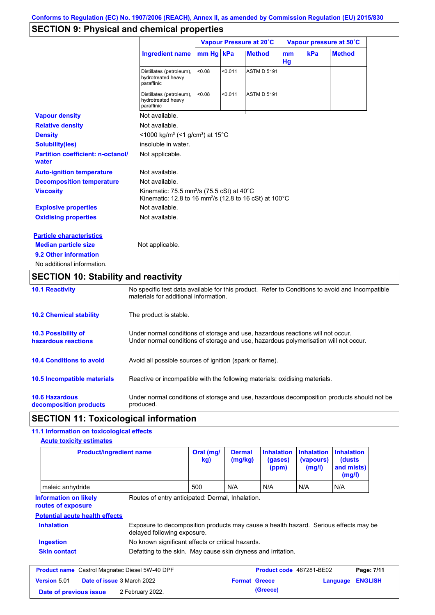# **SECTION 9: Physical and chemical properties**

|                                                   |                                                                                                                                        | Vapour Pressure at 20°C |         |                    | Vapour pressure at 50°C |     |               |
|---------------------------------------------------|----------------------------------------------------------------------------------------------------------------------------------------|-------------------------|---------|--------------------|-------------------------|-----|---------------|
|                                                   | Ingredient name mm Hg kPa                                                                                                              |                         |         | <b>Method</b>      | m <sub>m</sub><br>Hg    | kPa | <b>Method</b> |
|                                                   | Distillates (petroleum),<br>hydrotreated heavy<br>paraffinic                                                                           | < 0.08                  | < 0.011 | <b>ASTM D 5191</b> |                         |     |               |
|                                                   | Distillates (petroleum),<br>hydrotreated heavy<br>paraffinic                                                                           | < 0.08                  | < 0.011 | <b>ASTM D 5191</b> |                         |     |               |
| <b>Vapour density</b>                             | Not available.                                                                                                                         |                         |         |                    |                         |     |               |
| <b>Relative density</b>                           | Not available.                                                                                                                         |                         |         |                    |                         |     |               |
| <b>Density</b>                                    | <1000 kg/m <sup>3</sup> (<1 g/cm <sup>3</sup> ) at 15 <sup>°</sup> C                                                                   |                         |         |                    |                         |     |               |
| <b>Solubility(ies)</b>                            | insoluble in water.                                                                                                                    |                         |         |                    |                         |     |               |
| <b>Partition coefficient: n-octanol/</b><br>water | Not applicable.                                                                                                                        |                         |         |                    |                         |     |               |
| <b>Auto-ignition temperature</b>                  | Not available.                                                                                                                         |                         |         |                    |                         |     |               |
| <b>Decomposition temperature</b>                  | Not available.                                                                                                                         |                         |         |                    |                         |     |               |
| <b>Viscosity</b>                                  | Kinematic: 75.5 mm <sup>2</sup> /s (75.5 cSt) at 40 $^{\circ}$ C<br>Kinematic: 12.8 to 16 mm <sup>2</sup> /s (12.8 to 16 cSt) at 100°C |                         |         |                    |                         |     |               |
| <b>Explosive properties</b>                       | Not available.                                                                                                                         |                         |         |                    |                         |     |               |
| <b>Oxidising properties</b>                       | Not available.                                                                                                                         |                         |         |                    |                         |     |               |
| <b>Particle characteristics</b>                   |                                                                                                                                        |                         |         |                    |                         |     |               |
| <b>Median particle size</b>                       | Not applicable.                                                                                                                        |                         |         |                    |                         |     |               |
| 9.2 Other information                             |                                                                                                                                        |                         |         |                    |                         |     |               |
| No additional information.                        |                                                                                                                                        |                         |         |                    |                         |     |               |

# **SECTION 10: Stability and reactivity**

| <b>10.1 Reactivity</b>                            | No specific test data available for this product. Refer to Conditions to avoid and Incompatible<br>materials for additional information.                                |
|---------------------------------------------------|-------------------------------------------------------------------------------------------------------------------------------------------------------------------------|
| <b>10.2 Chemical stability</b>                    | The product is stable.                                                                                                                                                  |
| <b>10.3 Possibility of</b><br>hazardous reactions | Under normal conditions of storage and use, hazardous reactions will not occur.<br>Under normal conditions of storage and use, hazardous polymerisation will not occur. |
| <b>10.4 Conditions to avoid</b>                   | Avoid all possible sources of ignition (spark or flame).                                                                                                                |
| <b>10.5 Incompatible materials</b>                | Reactive or incompatible with the following materials: oxidising materials.                                                                                             |
| <b>10.6 Hazardous</b><br>decomposition products   | Under normal conditions of storage and use, hazardous decomposition products should not be<br>produced.                                                                 |

## **SECTION 11: Toxicological information**

## **11.1 Information on toxicological effects**

| <b>Product/ingredient name</b>                        |                                                                                                                     | Oral (mg/<br>kg) | <b>Dermal</b><br>(mg/kg) | <b>Inhalation</b><br>(gases)<br>(ppm)<br>N/A | <b>Inhalation</b><br>(vapours)<br>(mg/l) | <b>Inhalation</b><br>(dusts)<br>and mists)<br>(mg/l) |                              |
|-------------------------------------------------------|---------------------------------------------------------------------------------------------------------------------|------------------|--------------------------|----------------------------------------------|------------------------------------------|------------------------------------------------------|------------------------------|
| maleic anhydride                                      |                                                                                                                     | 500              | N/A                      |                                              | N/A                                      | N/A                                                  |                              |
| <b>Information on likely</b><br>routes of exposure    | Routes of entry anticipated: Dermal, Inhalation.                                                                    |                  |                          |                                              |                                          |                                                      |                              |
| <b>Potential acute health effects</b>                 |                                                                                                                     |                  |                          |                                              |                                          |                                                      |                              |
|                                                       |                                                                                                                     |                  |                          |                                              |                                          |                                                      |                              |
| <b>Inhalation</b>                                     | Exposure to decomposition products may cause a health hazard. Serious effects may be<br>delayed following exposure. |                  |                          |                                              |                                          |                                                      |                              |
| <b>Ingestion</b>                                      | No known significant effects or critical hazards.                                                                   |                  |                          |                                              |                                          |                                                      |                              |
| <b>Skin contact</b>                                   | Defatting to the skin. May cause skin dryness and irritation.                                                       |                  |                          |                                              |                                          |                                                      |                              |
| <b>Product name</b> Castrol Magnatec Diesel 5W-40 DPF |                                                                                                                     |                  |                          | <b>Product code</b> 467281-BE02              |                                          |                                                      |                              |
| <b>Version 5.01</b>                                   | <b>Date of issue 3 March 2022</b>                                                                                   |                  | <b>Format Greece</b>     |                                              |                                          | Language                                             | Page: 7/11<br><b>ENGLISH</b> |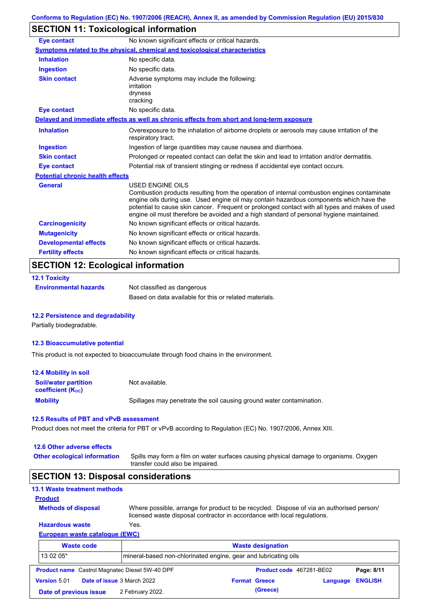# **SECTION 11: Toxicological information**

| <b>Eye contact</b>                      | No known significant effects or critical hazards.                                                                                                                                                                                                                                                                                                                                                        |
|-----------------------------------------|----------------------------------------------------------------------------------------------------------------------------------------------------------------------------------------------------------------------------------------------------------------------------------------------------------------------------------------------------------------------------------------------------------|
|                                         | Symptoms related to the physical, chemical and toxicological characteristics                                                                                                                                                                                                                                                                                                                             |
| <b>Inhalation</b>                       | No specific data.                                                                                                                                                                                                                                                                                                                                                                                        |
| <b>Ingestion</b>                        | No specific data.                                                                                                                                                                                                                                                                                                                                                                                        |
| <b>Skin contact</b>                     | Adverse symptoms may include the following:<br>irritation<br>dryness<br>cracking                                                                                                                                                                                                                                                                                                                         |
| <b>Eye contact</b>                      | No specific data.                                                                                                                                                                                                                                                                                                                                                                                        |
|                                         | Delayed and immediate effects as well as chronic effects from short and long-term exposure                                                                                                                                                                                                                                                                                                               |
| <b>Inhalation</b>                       | Overexposure to the inhalation of airborne droplets or aerosols may cause irritation of the<br>respiratory tract.                                                                                                                                                                                                                                                                                        |
| <b>Ingestion</b>                        | Ingestion of large quantities may cause nausea and diarrhoea.                                                                                                                                                                                                                                                                                                                                            |
| <b>Skin contact</b>                     | Prolonged or repeated contact can defat the skin and lead to irritation and/or dermatitis.                                                                                                                                                                                                                                                                                                               |
| <b>Eye contact</b>                      | Potential risk of transient stinging or redness if accidental eye contact occurs.                                                                                                                                                                                                                                                                                                                        |
| <b>Potential chronic health effects</b> |                                                                                                                                                                                                                                                                                                                                                                                                          |
| <b>General</b>                          | USED ENGINE OILS<br>Combustion products resulting from the operation of internal combustion engines contaminate<br>engine oils during use. Used engine oil may contain hazardous components which have the<br>potential to cause skin cancer. Frequent or prolonged contact with all types and makes of used<br>engine oil must therefore be avoided and a high standard of personal hygiene maintained. |
| <b>Carcinogenicity</b>                  | No known significant effects or critical hazards.                                                                                                                                                                                                                                                                                                                                                        |
| <b>Mutagenicity</b>                     | No known significant effects or critical hazards.                                                                                                                                                                                                                                                                                                                                                        |
| <b>Developmental effects</b>            | No known significant effects or critical hazards.                                                                                                                                                                                                                                                                                                                                                        |
| <b>Fertility effects</b>                | No known significant effects or critical hazards.                                                                                                                                                                                                                                                                                                                                                        |

## **12.1 Toxicity Environmental hazards** Not classified as dangerous Based on data available for this or related materials.

#### **12.2 Persistence and degradability**

Partially biodegradable.

#### **12.3 Bioaccumulative potential**

This product is not expected to bioaccumulate through food chains in the environment.

| <b>12.4 Mobility in soil</b>                            |                                                                      |
|---------------------------------------------------------|----------------------------------------------------------------------|
| <b>Soil/water partition</b><br><b>coefficient (Koc)</b> | Not available.                                                       |
| <b>Mobility</b>                                         | Spillages may penetrate the soil causing ground water contamination. |

#### **12.5 Results of PBT and vPvB assessment**

Product does not meet the criteria for PBT or vPvB according to Regulation (EC) No. 1907/2006, Annex XIII.

#### **12.6 Other adverse effects**

Spills may form a film on water surfaces causing physical damage to organisms. Oxygen transfer could also be impaired. **Other ecological information**

## **SECTION 13: Disposal considerations**

| <b>13.1 Waste treatment methods</b>                   |                                                                 |                                                                                                                                                                      |            |
|-------------------------------------------------------|-----------------------------------------------------------------|----------------------------------------------------------------------------------------------------------------------------------------------------------------------|------------|
| <b>Product</b>                                        |                                                                 |                                                                                                                                                                      |            |
| <b>Methods of disposal</b>                            |                                                                 | Where possible, arrange for product to be recycled. Dispose of via an authorised person/<br>licensed waste disposal contractor in accordance with local regulations. |            |
| <b>Hazardous waste</b><br>Yes.                        |                                                                 |                                                                                                                                                                      |            |
| <b>European waste catalogue (EWC)</b>                 |                                                                 |                                                                                                                                                                      |            |
| <b>Waste code</b>                                     |                                                                 | <b>Waste designation</b>                                                                                                                                             |            |
| 13 02 05*                                             | mineral-based non-chlorinated engine, gear and lubricating oils |                                                                                                                                                                      |            |
| <b>Product name</b> Castrol Magnatec Diesel 5W-40 DPF |                                                                 | Product code 467281-BE02                                                                                                                                             | Page: 8/11 |
|                                                       |                                                                 |                                                                                                                                                                      |            |

| <b>Date of issue 3 March 2022</b><br><b>Version 5.01</b><br><b>Format Greece</b><br>(Greece)<br>Date of previous issue |                  |                         |
|------------------------------------------------------------------------------------------------------------------------|------------------|-------------------------|
|                                                                                                                        |                  | <b>Language ENGLISH</b> |
|                                                                                                                        | 2 February 2022. |                         |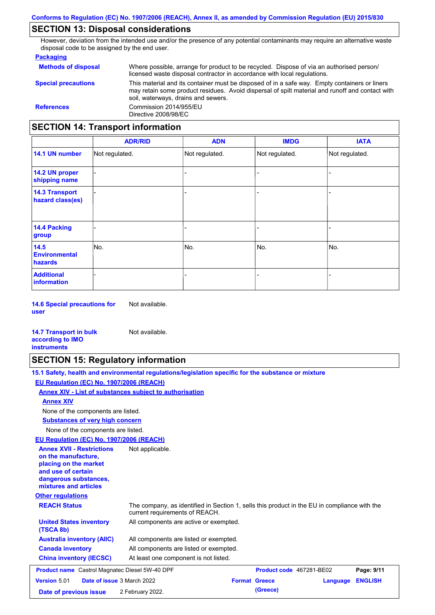# **SECTION 13: Disposal considerations**

However, deviation from the intended use and/or the presence of any potential contaminants may require an alternative waste disposal code to be assigned by the end user.

#### **Packaging**

| <b>Methods of disposal</b>                                          | Where possible, arrange for product to be recycled. Dispose of via an authorised person/<br>licensed waste disposal contractor in accordance with local regulations.                                                                    |  |  |  |
|---------------------------------------------------------------------|-----------------------------------------------------------------------------------------------------------------------------------------------------------------------------------------------------------------------------------------|--|--|--|
| <b>Special precautions</b>                                          | This material and its container must be disposed of in a safe way. Empty containers or liners<br>may retain some product residues. Avoid dispersal of spilt material and runoff and contact with<br>soil, waterways, drains and sewers. |  |  |  |
| Commission 2014/955/EU<br><b>References</b><br>Directive 2008/98/EC |                                                                                                                                                                                                                                         |  |  |  |
| <b>SECTION 14: Transport information</b>                            |                                                                                                                                                                                                                                         |  |  |  |

|                                           | <b>ADR/RID</b> | <b>ADN</b>     | <b>IMDG</b>              | <b>IATA</b>    |
|-------------------------------------------|----------------|----------------|--------------------------|----------------|
| 14.1 UN number                            | Not regulated. | Not regulated. | Not regulated.           | Not regulated. |
| 14.2 UN proper<br>shipping name           |                |                |                          |                |
| <b>14.3 Transport</b><br>hazard class(es) |                |                | $\overline{\phantom{0}}$ |                |
| 14.4 Packing<br>group                     |                |                | $\blacksquare$           |                |
| 14.5<br><b>Environmental</b><br>hazards   | No.            | No.            | No.                      | No.            |
| <b>Additional</b><br>information          |                |                | -                        |                |

**14.6 Special precautions for user** Not available.

#### **14.7 Transport in bulk according to IMO instruments**

# **SECTION 15: Regulatory information**

Not available.

| 15.1 Safety, health and environmental requiations/legislation specific for the substance or mixture |
|-----------------------------------------------------------------------------------------------------|
| EU Regulation (EC) No. 1907/2006 (REACH)                                                            |
| Annex XIV - List of substances subject to authorisation                                             |
| <b>Annex XIV</b>                                                                                    |

None of the components are listed.

**Substances of very high concern**

None of the components are listed.

### **EU Regulation (EC) No. 1907/2006 (REACH)**

| EU Regulation (EC) No. 1907/2006 (REACH)                                                                                                                 |                                                                                                                                |
|----------------------------------------------------------------------------------------------------------------------------------------------------------|--------------------------------------------------------------------------------------------------------------------------------|
| <b>Annex XVII - Restrictions</b><br>on the manufacture,<br>placing on the market<br>and use of certain<br>dangerous substances,<br>mixtures and articles | Not applicable.                                                                                                                |
| <b>Other regulations</b>                                                                                                                                 |                                                                                                                                |
| <b>REACH Status</b>                                                                                                                                      | The company, as identified in Section 1, sells this product in the EU in compliance with the<br>current requirements of REACH. |
| <b>United States inventory</b><br>(TSCA 8b)                                                                                                              | All components are active or exempted.                                                                                         |
| <b>Australia inventory (AIIC)</b>                                                                                                                        | All components are listed or exempted.                                                                                         |
| <b>Canada inventory</b>                                                                                                                                  | All components are listed or exempted.                                                                                         |
| <b>China inventory (IECSC)</b>                                                                                                                           | At least one component is not listed.                                                                                          |
| <b>Product name</b> Castrol Magnatec Diesel 5W-40 DPF                                                                                                    | Product code 467281-BE02<br>Page: 9/11                                                                                         |
| <b>Version 5.01</b>                                                                                                                                      | Date of issue 3 March 2022<br><b>Format Greece</b><br><b>ENGLISH</b><br>Language                                               |
| Date of previous issue                                                                                                                                   | (Greece)<br>2 February 2022.                                                                                                   |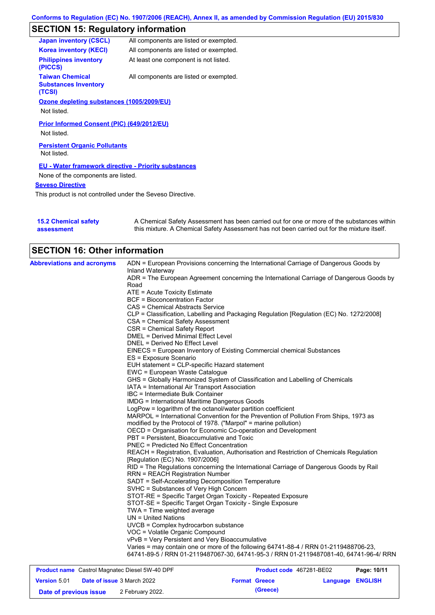# **SECTION 15: Regulatory information**

| <b>Japan inventory (CSCL)</b>                                   | All components are listed or exempted. |
|-----------------------------------------------------------------|----------------------------------------|
| <b>Korea inventory (KECI)</b>                                   | All components are listed or exempted. |
| <b>Philippines inventory</b><br>(PICCS)                         | At least one component is not listed.  |
| <b>Taiwan Chemical</b><br><b>Substances Inventory</b><br>(TCSI) | All components are listed or exempted. |
| Ozone depleting substances (1005/2009/EU)                       |                                        |
| Not listed.                                                     |                                        |
| Prior Informed Consent (PIC) (649/2012/EU)                      |                                        |
| Not listed.                                                     |                                        |
| <b>Persistent Organic Pollutants</b><br>Not listed.             |                                        |
| <b>EU - Water framework directive - Priority substances</b>     |                                        |
| None of the components are listed.                              |                                        |
| <b>Seveso Directive</b>                                         |                                        |
|                                                                 |                                        |

This product is not controlled under the Seveso Directive.

| <b>15.2 Chemical safety</b> | A Chemical Safety Assessment has been carried out for one or more of the substances within  |
|-----------------------------|---------------------------------------------------------------------------------------------|
| assessment                  | this mixture. A Chemical Safety Assessment has not been carried out for the mixture itself. |

| <b>SECTION 16: Other information</b> |                                                                                                                              |  |  |  |
|--------------------------------------|------------------------------------------------------------------------------------------------------------------------------|--|--|--|
| <b>Abbreviations and acronyms</b>    | ADN = European Provisions concerning the International Carriage of Dangerous Goods by<br>Inland Waterway                     |  |  |  |
|                                      | ADR = The European Agreement concerning the International Carriage of Dangerous Goods by                                     |  |  |  |
|                                      | Road                                                                                                                         |  |  |  |
|                                      | ATE = Acute Toxicity Estimate                                                                                                |  |  |  |
|                                      | <b>BCF = Bioconcentration Factor</b>                                                                                         |  |  |  |
|                                      |                                                                                                                              |  |  |  |
|                                      | CAS = Chemical Abstracts Service                                                                                             |  |  |  |
|                                      | CLP = Classification, Labelling and Packaging Regulation [Regulation (EC) No. 1272/2008]<br>CSA = Chemical Safety Assessment |  |  |  |
|                                      |                                                                                                                              |  |  |  |
|                                      | CSR = Chemical Safety Report<br><b>DMEL = Derived Minimal Effect Level</b>                                                   |  |  |  |
|                                      |                                                                                                                              |  |  |  |
|                                      | DNEL = Derived No Effect Level                                                                                               |  |  |  |
|                                      | EINECS = European Inventory of Existing Commercial chemical Substances                                                       |  |  |  |
|                                      | ES = Exposure Scenario                                                                                                       |  |  |  |
|                                      | EUH statement = CLP-specific Hazard statement                                                                                |  |  |  |
|                                      | EWC = European Waste Catalogue                                                                                               |  |  |  |
|                                      | GHS = Globally Harmonized System of Classification and Labelling of Chemicals                                                |  |  |  |
|                                      | IATA = International Air Transport Association                                                                               |  |  |  |
|                                      | IBC = Intermediate Bulk Container                                                                                            |  |  |  |
|                                      | <b>IMDG</b> = International Maritime Dangerous Goods                                                                         |  |  |  |
|                                      | LogPow = logarithm of the octanol/water partition coefficient                                                                |  |  |  |
|                                      | MARPOL = International Convention for the Prevention of Pollution From Ships, 1973 as                                        |  |  |  |
|                                      | modified by the Protocol of 1978. ("Marpol" = marine pollution)                                                              |  |  |  |
|                                      | OECD = Organisation for Economic Co-operation and Development                                                                |  |  |  |
|                                      | PBT = Persistent. Bioaccumulative and Toxic                                                                                  |  |  |  |
|                                      | <b>PNEC = Predicted No Effect Concentration</b>                                                                              |  |  |  |
|                                      | REACH = Registration, Evaluation, Authorisation and Restriction of Chemicals Regulation<br>[Regulation (EC) No. 1907/2006]   |  |  |  |
|                                      | RID = The Regulations concerning the International Carriage of Dangerous Goods by Rail                                       |  |  |  |
|                                      | <b>RRN = REACH Registration Number</b>                                                                                       |  |  |  |
|                                      | SADT = Self-Accelerating Decomposition Temperature                                                                           |  |  |  |
|                                      | SVHC = Substances of Very High Concern                                                                                       |  |  |  |
|                                      | STOT-RE = Specific Target Organ Toxicity - Repeated Exposure                                                                 |  |  |  |
|                                      | STOT-SE = Specific Target Organ Toxicity - Single Exposure                                                                   |  |  |  |
|                                      | TWA = Time weighted average                                                                                                  |  |  |  |
|                                      | $UN = United Nations$                                                                                                        |  |  |  |
|                                      | $UVCB = Complex\;hydrocarbon\; substance$                                                                                    |  |  |  |
|                                      | VOC = Volatile Organic Compound                                                                                              |  |  |  |
|                                      | vPvB = Very Persistent and Very Bioaccumulative                                                                              |  |  |  |
|                                      | Varies = may contain one or more of the following $64741-88-4$ / RRN 01-2119488706-23,                                       |  |  |  |
|                                      | 64741-89-5 / RRN 01-2119487067-30, 64741-95-3 / RRN 01-2119487081-40, 64741-96-4/ RRN                                        |  |  |  |
|                                      |                                                                                                                              |  |  |  |

| <b>Product name</b> Castrol Magnatec Diesel 5W-40 DPF |  | <b>Product code</b> 467281-BE02   |                      | Page: 10/11             |  |
|-------------------------------------------------------|--|-----------------------------------|----------------------|-------------------------|--|
| <b>Version 5.01</b>                                   |  | <b>Date of issue 3 March 2022</b> | <b>Format Greece</b> | <b>Language ENGLISH</b> |  |
| Date of previous issue                                |  | 2 February 2022.                  | (Greece)             |                         |  |